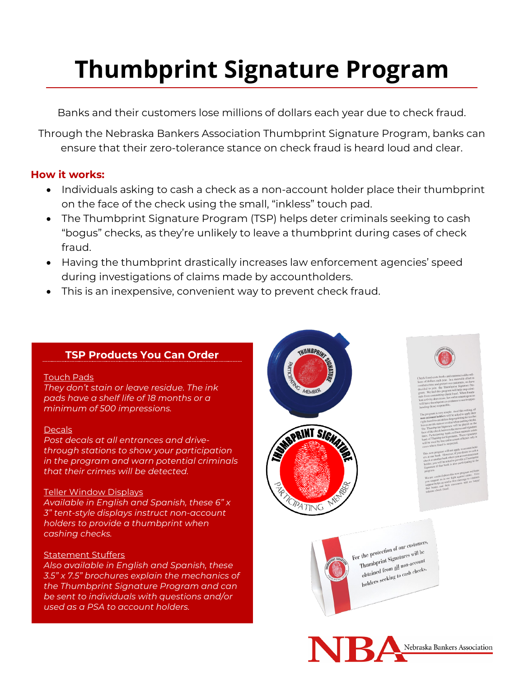# **Thumbprint Signature Program**

Banks and their customers lose millions of dollars each year due to check fraud.

Through the Nebraska Bankers Association Thumbprint Signature Program, banks can ensure that their zero-tolerance stance on check fraud is heard loud and clear.

### **How it works:**

- Individuals asking to cash a check as a non-account holder place their thumbprint on the face of the check using the small, "inkless" touch pad.
- The Thumbprint Signature Program (TSP) helps deter criminals seeking to cash "bogus" checks, as they're unlikely to leave a thumbprint during cases of check fraud.
- Having the thumbprint drastically increases law enforcement agencies' speed during investigations of claims made by accountholders.
- This is an inexpensive, convenient way to prevent check fraud.

## **TSP Products You Can Order**

#### Touch Pads

*They don't stain or leave residue. The ink pads have a shelf life of 18 months or a minimum of 500 impressions.*

#### **Decals**

*Post decals at all entrances and drivethrough stations to show your participation in the program and warn potential criminals that their crimes will be detected.*

#### Teller Window Displays

*Available in English and Spanish, these 6" x 3" tent-style displays instruct non-account holders to provide a thumbprint when cashing checks.* 

#### Statement Stuffers

*Also available in English and Spanish, these 3.5" x 7.5" brochures explain the mechanics of the Thumbprint Signature Program and can be sent to individuals with questions and/or used as a PSA to account holders.*